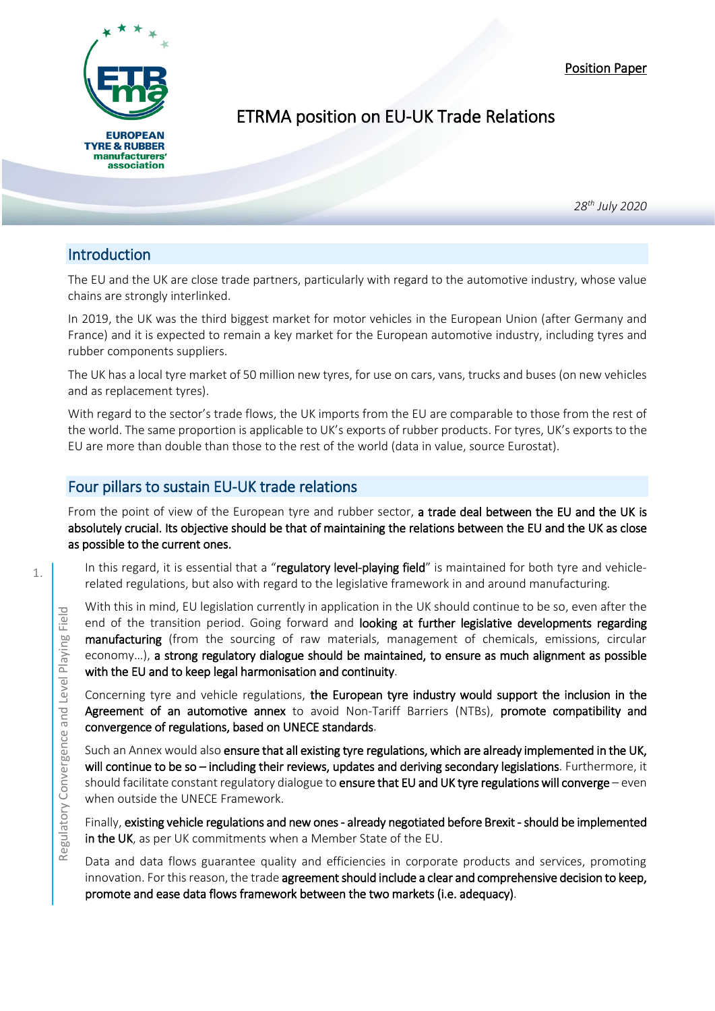Position Paper



## ETRMA position on EU-UK Trade Relations

*28th July 2020*

## Introduction

i

The EU and the UK are close trade partners, particularly with regard to the automotive industry, whose value chains are strongly interlinked.

In 2019, the UK was the third biggest market for motor vehicles in the European Union (after Germany and France) and it is expected to remain a key market for the European automotive industry, including tyres and rubber components suppliers.

The UK has a local tyre market of 50 million new tyres, for use on cars, vans, trucks and buses (on new vehicles and as replacement tyres).

With regard to the sector's trade flows, the UK imports from the EU are comparable to those from the rest of the world. The same proportion is applicable to UK's exports of rubber products. For tyres, UK's exports to the EU are more than double than those to the rest of the world (data in value, source Eurostat).

## Four pillars to sustain EU-UK trade relations

From the point of view of the European tyre and rubber sector, a trade deal between the EU and the UK is absolutely crucial. Its objective should be that of maintaining the relations between the EU and the UK as close as possible to the current ones.

In this regard, it is essential that a "regulatory level-playing field" is maintained for both tyre and vehiclerelated regulations, but also with regard to the legislative framework in and around manufacturing.

With this in mind, EU legislation currently in application in the UK should continue to be so, even after the end of the transition period. Going forward and looking at further legislative developments regarding manufacturing (from the sourcing of raw materials, management of chemicals, emissions, circular economy…), a strong regulatory dialogue should be maintained, to ensure as much alignment as possible with the EU and to keep legal harmonisation and continuity. Fig. 2011 The two simulations in a munitation period. Going forward and looking at further legislative manufacturing (from the sourcing of raw materials, management of chemine economy...), a strong regulatory dialogue sho

Concerning tyre and vehicle regulations, the European tyre industry would support the inclusion in the Agreement of an automotive annex to avoid Non-Tariff Barriers (NTBs), promote compatibility and convergence of regulations, based on UNECE standards.

Such an Annex would also ensure that all existing tyre regulations, which are already implemented in the UK, will continue to be so - including their reviews, updates and deriving secondary legislations. Furthermore, it should facilitate constant regulatory dialogue to ensure that EU and UK tyre regulations will converge - even when outside the UNECE Framework.

Finally, existing vehicle regulations and new ones - already negotiated before Brexit - should be implemented in the UK, as per UK commitments when a Member State of the EU.

Data and data flows guarantee quality and efficiencies in corporate products and services, promoting innovation. For this reason, the trade agreement should include a clear and comprehensive decision to keep,

1.